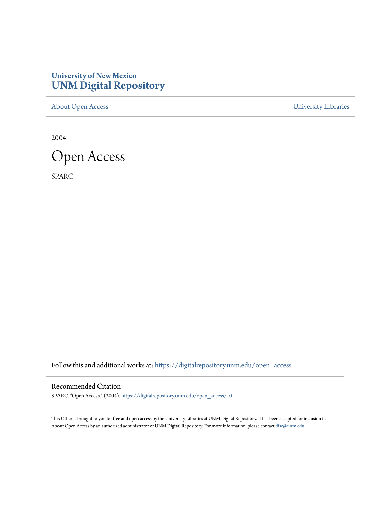## **University of New Mexico [UNM Digital Repository](https://digitalrepository.unm.edu?utm_source=digitalrepository.unm.edu%2Fopen_access%2F10&utm_medium=PDF&utm_campaign=PDFCoverPages)**

[About Open Access](https://digitalrepository.unm.edu/open_access?utm_source=digitalrepository.unm.edu%2Fopen_access%2F10&utm_medium=PDF&utm_campaign=PDFCoverPages) [University Libraries](https://digitalrepository.unm.edu/libraries?utm_source=digitalrepository.unm.edu%2Fopen_access%2F10&utm_medium=PDF&utm_campaign=PDFCoverPages)

2004



SPARC

Follow this and additional works at: [https://digitalrepository.unm.edu/open\\_access](https://digitalrepository.unm.edu/open_access?utm_source=digitalrepository.unm.edu%2Fopen_access%2F10&utm_medium=PDF&utm_campaign=PDFCoverPages)

#### Recommended Citation

SPARC. "Open Access." (2004). [https://digitalrepository.unm.edu/open\\_access/10](https://digitalrepository.unm.edu/open_access/10?utm_source=digitalrepository.unm.edu%2Fopen_access%2F10&utm_medium=PDF&utm_campaign=PDFCoverPages)

This Other is brought to you for free and open access by the University Libraries at UNM Digital Repository. It has been accepted for inclusion in About Open Access by an authorized administrator of UNM Digital Repository. For more information, please contact [disc@unm.edu.](mailto:disc@unm.edu)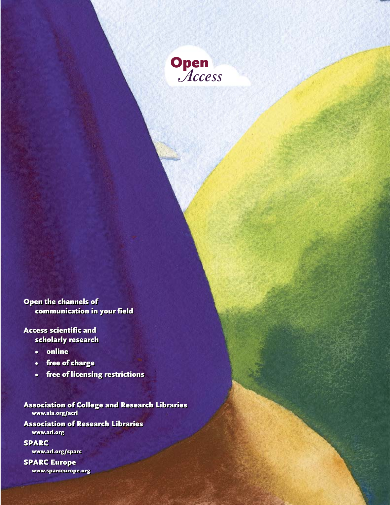

Open the channels of Open the channels of communication in your field communication in your field

Access scientific and Access scientific and scholarly research scholarly research

- online online
- free of charge free of charge
- free of licensing restrictions free of licensing restrictions

Association of College and Research Libraries Association of College and Research Libraries www.ala.org/acrl [www.ala.org/acrl](http://www.ala.org/acrl/)

Association of Research Libraries Association of Research Libraries www.arl.org [www.arl.org](http://www.arl.org/)

SPARC SPARC www.arl.org/sparc [www.arl.org/sparc](http://www.arl.org/sparc/)

SPARC Europe SPARC Europe www.sparceurope.org [www.sparceurope.org](http://www.sparceurope.org/)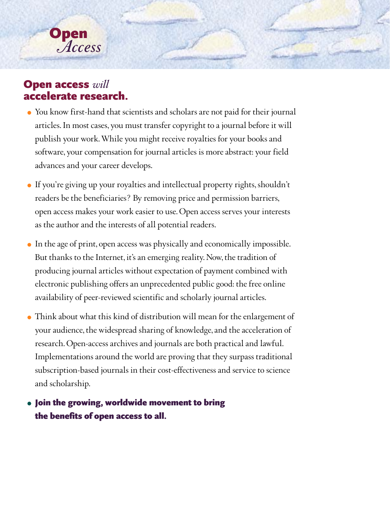

# Open access *will* accelerate research.

- You know first-hand that scientists and scholars are not paid for their journal articles. In most cases, you must transfer copyright to a journal before it will publish your work. While you might receive royalties for your books and software, your compensation for journal articles is more abstract: your field advances and your career develops.
- If you're giving up your royalties and intellectual property rights, shouldn't readers be the beneficiaries? By removing price and permission barriers, open access makes your work easier to use. Open access serves your interests as the author and the interests of all potential readers.
- In the age of print, open access was physically and economically impossible. But thanks to the Internet, it's an emerging reality. Now, the tradition of producing journal articles without expectation of payment combined with electronic publishing offers an unprecedented public good: the free online availability of peer-reviewed scientific and scholarly journal articles.
- Think about what this kind of distribution will mean for the enlargement of your audience, the widespread sharing of knowledge, and the acceleration of research. Open-access archives and journals are both practical and lawful. Implementations around the world are proving that they surpass traditional subscription-based journals in their cost-effectiveness and service to science and scholarship.

# Join the growing, worldwide movement to bring the benefits of open access to all.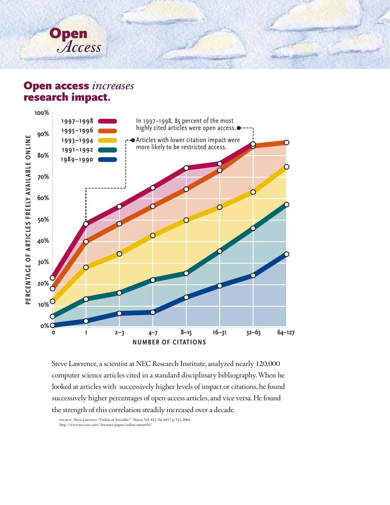

# Open access *increases* research impact.



Steve Lawrence, a scientist at NEC Research Institute, analyzed nearly 120,000 computer science articles cited in a standard disciplinary bibliography. When he looked at articles with successively higher levels of impact or citations, he found successively higher percentages of open-access articles, and vice versa. He found the strength of this correlation steadily increased over a decade.

source: Steve Lawrence, "Online or Invisible?" *Nature*, Vol. 411, No. 6837, p. 521, 2001. [http: //www.neci.nec.com/~lawrence/papers/online-nature01/](http://www.neci.nec.com/~lawrence/papers/online-nature01/)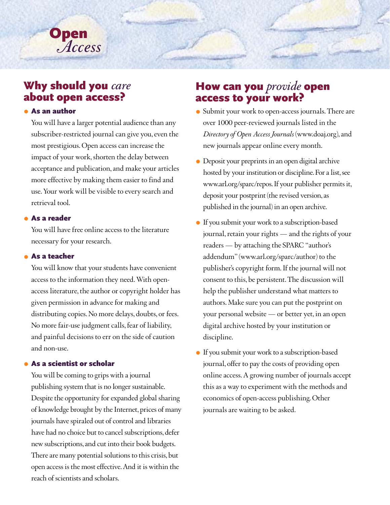# Why should you *care*

*Access*

**Open** 

### As an author

You will have a larger potential audience than any subscriber-restricted journal can give you, even the most prestigious. Open access can increase the impact of your work, shorten the delay between acceptance and publication, and make your articles more effective by making them easier to find and use. Your work will be visible to every search and retrieval tool.

### As a reader

You will have free online access to the literature necessary for your research.

#### As a teacher

You will know that your students have convenient access to the information they need. With openaccess literature, the author or copyright holder has given permission in advance for making and distributing copies. No more delays, doubts, or fees. No more fair-use judgment calls, fear of liability, and painful decisions to err on the side of caution and non-use.

#### As a scientist or scholar

You will be coming to grips with a journal publishing system that is no longer sustainable. Despite the opportunity for expanded global sharing of knowledge brought by the Internet, prices of many journals have spiraled out of control and libraries have had no choice but to cancel subscriptions, defer new subscriptions, and cut into their book budgets. There are many potential solutions to this crisis, but open access is the most effective. And it is within the reach of scientists and scholars.

# How can you *provide* open access to your work?

- Submit your work to open-access journals. There are over 1000 peer-reviewed journals listed in the *Directory of Open Access Journals* [\(www.doaj.org\)](http://www.doaj.org/), and new journals appear online every month.
- Deposit your preprints in an open digital archive hosted by your institution or discipline. For a list, see [www.arl.org/sparc/repos.](http://www.arl.org/sparc/repos/) If your publisher permits it, deposit your postprint (the revised version, as published in the journal) in an open archive.
- If you submit your work to a subscription-based journal, retain your rights — and the rights of your readers — by attaching the SPARC "author's addendum" [\(www.arl.org/sparc/author\)](http://www.arl.org/sparc/author/) to the publisher's copyright form. If the journal will not consent to this, be persistent. The discussion will help the publisher understand what matters to authors. Make sure you can put the postprint on your personal website — or better yet, in an open digital archive hosted by your institution or discipline.
- If you submit your work to a subscription-based journal, offer to pay the costs of providing open online access. A growing number of journals accept this as a way to experiment with the methods and economics of open-access publishing. Other journals are waiting to be asked.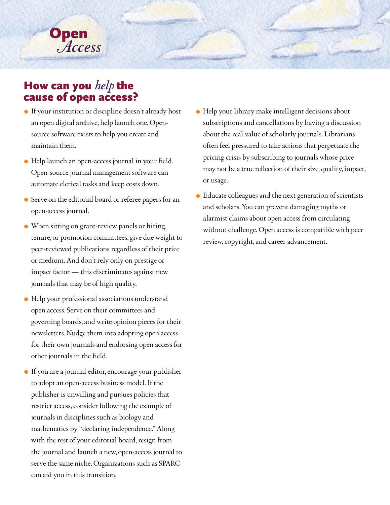

# How can you *help* the cause of open access?

- If your institution or discipline doesn't already host an open digital archive, help launch one. Opensource software exists to help you create and maintain them.
- Help launch an open-access journal in your field. Open-source journal management software can automate clerical tasks and keep costs down.
- Serve on the editorial board or referee papers for an open-access journal.
- When sitting on grant-review panels or hiring, tenure, or promotion committees, give due weight to peer-reviewed publications regardless of their price or medium. And don't rely only on prestige or impact factor — this discriminates against new journals that may be of high quality.
- Help your professional associations understand open access. Serve on their committees and governing boards, and write opinion pieces for their newsletters. Nudge them into adopting open access for their own journals and endorsing open access for other journals in the field.
- If you are a journal editor, encourage your publisher to adopt an open-access business model. If the publisher is unwilling and pursues policies that restrict access, consider following the example of journals in disciplines such as biology and mathematics by "declaring independence." Along with the rest of your editorial board, resign from the journal and launch a new, open-access journal to serve the same niche. Organizations such as SPARC can aid you in this transition.
- Help your library make intelligent decisions about subscriptions and cancellations by having a discussion about the real value of scholarly journals. Librarians often feel pressured to take actions that perpetuate the pricing crisis by subscribing to journals whose price may not be a true reflection of their size, quality, impact, or usage.
- Educate colleagues and the next generation of scientists and scholars. You can prevent damaging myths or alarmist claims about open access from circulating without challenge. Open access is compatible with peer review, copyright, and career advancement.